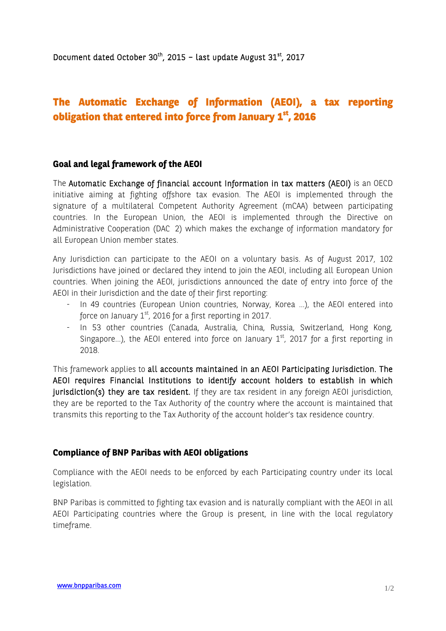# **The Automatic Exchange of Information (AEOI), a tax reporting obligation that entered into force from January 1st, 2016**

#### **Goal and legal framework of the AEOI**

The Automatic Exchange of financial account Information in tax matters (AEOI) is an OECD initiative aiming at fighting offshore tax evasion. The AEOI is implemented through the signature of a multilateral Competent Authority Agreement (mCAA) between participating countries. In the European Union, the AEOI is implemented through the Directive on Administrative Cooperation (DAC 2) which makes the exchange of information mandatory for all European Union member states.

Any Jurisdiction can participate to the AEOI on a voluntary basis. As of August 2017, 102 Jurisdictions have joined or declared they intend to join the AEOI, including all European Union countries. When joining the AEOI, jurisdictions announced the date of entry into force of the AEOI in their Jurisdiction and the date of their first reporting:

- In 49 countries (European Union countries, Norway, Korea …), the AEOI entered into force on January  $1<sup>st</sup>$ , 2016 for a first reporting in 2017.
- In 53 other countries (Canada, Australia, China, Russia, Switzerland, Hong Kong, Singapore...), the AEOI entered into force on January  $1<sup>st</sup>$ , 2017 for a first reporting in 2018.

This framework applies to all accounts maintained in an AEOI Participating Jurisdiction. The AEOI requires Financial Institutions to identify account holders to establish in which jurisdiction(s) they are tax resident. If they are tax resident in any foreign AEOI jurisdiction, they are be reported to the Tax Authority of the country where the account is maintained that transmits this reporting to the Tax Authority of the account holder's tax residence country.

#### **Compliance of BNP Paribas with AEOI obligations**

Compliance with the AEOI needs to be enforced by each Participating country under its local legislation.

BNP Paribas is committed to fighting tax evasion and is naturally compliant with the AEOI in all AEOI Participating countries where the Group is present, in line with the local regulatory timeframe.